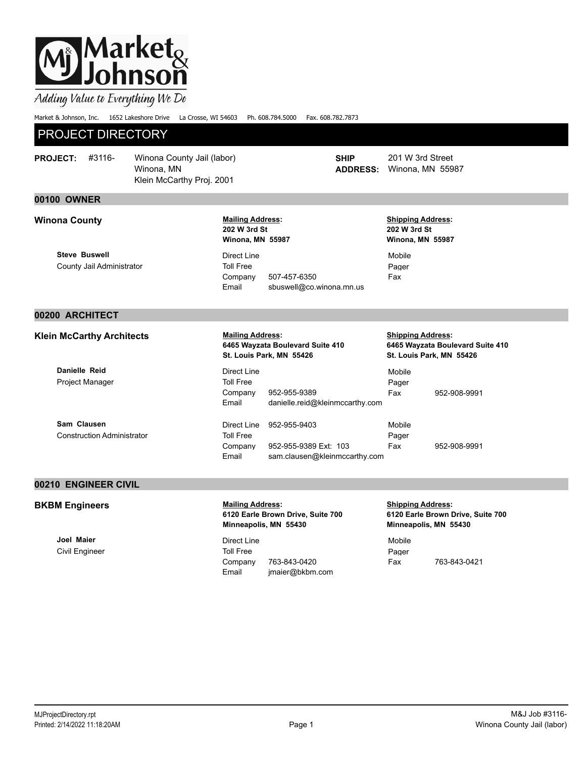# |Market<sub>&</sub><br>|Johnson

Adding Value to Everything We Do

Market & Johnson, Inc. 1652 Lakeshore Drive La Crosse, WI 54603 Ph. 608.784.5000 Fax. 608.782.7873

### PROJECT DIRECTORY

| <b>PROJECT:</b> | #3116- | Winona County Jail (labor) |  |
|-----------------|--------|----------------------------|--|
|                 |        | Winona, MN                 |  |
|                 |        | Klein McCarthy Proj. 2001  |  |

### **00100 OWNER**

**Steve Buswell** County Jail Administrator **Mailing Address: 202 W 3rd St Winona, MN 55987**

Direct Line Toll Free Company 507-457-6350 Email sbuswell@co.winona.mn.us

**SHIP ADDRESS:**

**PROJECT:** 201 W 3rd Street Winona, MN 55987

**Shipping Address: 202 W 3rd St Winona, MN 55987** Mobile Pager

Fax

### **00200 ARCHITECT**

**Klein McCarthy Architects Mailing Address:** 

**Danielle Reid** Project Manager

**Sam Clausen** Construction Administrator

### **6465 Wayzata Boulevard Suite 410 St. Louis Park, MN 55426**

Direct Line Toll Free Company 952-955-9389 Mobile Pager Email danielle.reid@kleinmccarthy.com Direct Line 952-955-9403 Toll Free Company 952-955-9389 Ext: 103 Mobile Pager Email sam.clausen@kleinmccarthy.com

#### **Shipping Address: 6465 Wayzata Boulevard Suite 410 St. Louis Park, MN 55426**

Fax 952-908-9991

Fax 952-908-9991

### **00210 ENGINEER CIVIL**

### **BKBM Engineers** *Mailing Address:*

**Joel Maier** Civil Engineer **6120 Earle Brown Drive, Suite 700 Minneapolis, MN 55430**

Direct Line Toll Free Company 763-843-0420 Email jmaier@bkbm.com **Shipping Address: 6120 Earle Brown Drive, Suite 700 Minneapolis, MN 55430**

Mobile Pager Fax 763-843-0421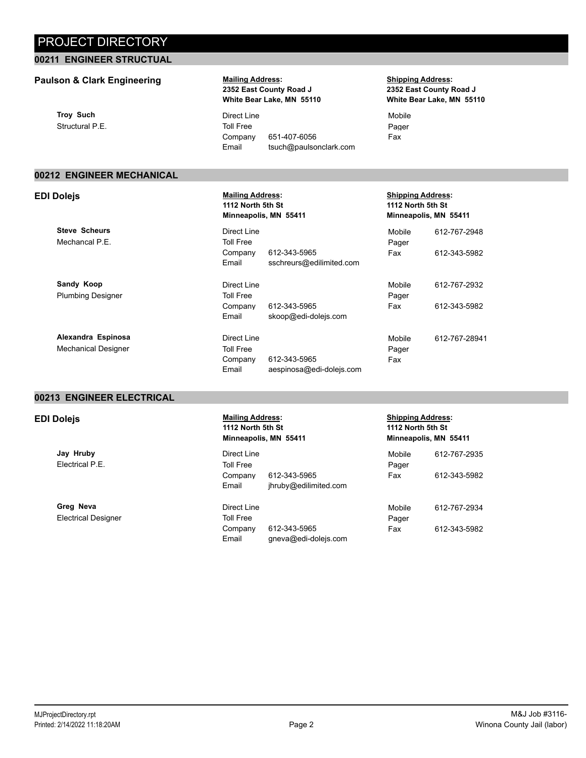### **00211 ENGINEER STRUCTUAL**

### **Paulson & Clark Engineering Mailing Address:**

**Troy Such** Structural P.E.

### **2352 East County Road J White Bear Lake, MN 55110**

Direct Line Toll Free Company 651-407-6056 Email tsuch@paulsonclark.com **Shipping Address: 2352 East County Road J White Bear Lake, MN 55110**

Mobile Pager Fax

### **00212 ENGINEER MECHANICAL**

**Steve Scheurs** Mechancal P.E.

**Sandy Koop** Plumbing Designer

**Alexandra Espinosa** Mechanical Designer

#### **EDI Dolejs Mailing Address: 1112 North 5th St Minneapolis, MN 55411**

Direct Line Toll Free Company 612-343-5965 Email sschreurs@edilimited.com Direct Line Toll Free Company 612-343-5965 Email skoop@edi-dolejs.com Direct Line Toll Free Company 612-343-5965

Email aespinosa@edi-dolejs.com

### **Shipping Address: 1112 North 5th St Minneapolis, MN 55411** Mobile 612-767-2948 Pager Fax 612-343-5982 Mobile 612-767-2932 Pager Fax 612-343-5982 Mobile 612-767-28941 Pager Fax

### **00213 ENGINEER ELECTRICAL**

**Jay Hruby** Electrical P.E.

**Greg Neva** Electrical Designer

#### **EDI Dolejs** *Mailing Address:* **1112 North 5th St Minneapolis, MN 55411**

Direct Line Toll Free Company 612-343-5965 Email jhruby@edilimited.com

Direct Line Toll Free Company 612-343-5965 Email gneva@edi-dolejs.com

#### **Shipping Address: 1112 North 5th St Minneapolis, MN 55411**

| Mobile<br>Pager | 612-767-2935 |
|-----------------|--------------|
| Fax             | 612-343-5982 |
| Mobile          | 612-767-2934 |
| Pager<br>Fax    | 612-343-5982 |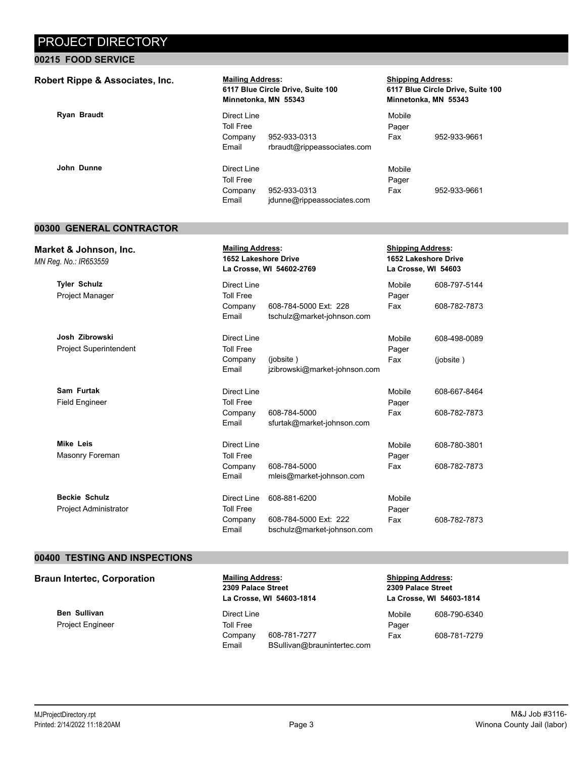### **00215 FOOD SERVICE**

| Robert Rippe & Associates, Inc. | <b>Mailing Address:</b>                      | 6117 Blue Circle Drive, Suite 100<br>Minnetonka, MN 55343 | <b>Shipping Address:</b><br>6117 Blue Circle Drive, Suite 100<br>Minnetonka, MN 55343 |              |
|---------------------------------|----------------------------------------------|-----------------------------------------------------------|---------------------------------------------------------------------------------------|--------------|
| <b>Ryan Braudt</b>              | Direct Line<br><b>Toll Free</b>              |                                                           | Mobile<br>Pager                                                                       |              |
|                                 | Company<br>Email                             | 952-933-0313<br>rbraudt@rippeassociates.com               | Fax                                                                                   | 952-933-9661 |
| John Dunne                      | Direct Line<br>Toll Free<br>Company<br>Email | 952-933-0313<br>jdunne@rippeassociates.com                | Mobile<br>Pager<br>Fax                                                                | 952-933-9661 |

### **00300 GENERAL CONTRACTOR**

| Market & Johnson, Inc.<br>MN Reg. No.: IR653559 |                  | <b>Mailing Address:</b><br><b>1652 Lakeshore Drive</b><br>La Crosse, WI 54602-2769 |        | <b>Shipping Address:</b><br>1652 Lakeshore Drive<br>La Crosse, WI 54603 |  |
|-------------------------------------------------|------------------|------------------------------------------------------------------------------------|--------|-------------------------------------------------------------------------|--|
| <b>Tyler Schulz</b>                             | Direct Line      |                                                                                    | Mobile | 608-797-5144                                                            |  |
| <b>Project Manager</b>                          | <b>Toll Free</b> |                                                                                    | Pager  |                                                                         |  |
|                                                 | Company<br>Email | 608-784-5000 Ext: 228<br>tschulz@market-johnson.com                                | Fax    | 608-782-7873                                                            |  |
| Josh Zibrowski                                  | Direct Line      |                                                                                    | Mobile | 608-498-0089                                                            |  |
| <b>Project Superintendent</b>                   | <b>Toll Free</b> |                                                                                    | Pager  |                                                                         |  |
|                                                 | Company          | (jobsite)                                                                          | Fax    | (jobsite)                                                               |  |
|                                                 | Email            | jzibrowski@market-johnson.com                                                      |        |                                                                         |  |
| Sam Furtak                                      | Direct Line      |                                                                                    | Mobile | 608-667-8464                                                            |  |
| <b>Field Engineer</b>                           | <b>Toll Free</b> |                                                                                    | Pager  |                                                                         |  |
|                                                 | Company          | 608-784-5000                                                                       | Fax    | 608-782-7873                                                            |  |
|                                                 | Email            | sfurtak@market-johnson.com                                                         |        |                                                                         |  |
| <b>Mike Leis</b>                                | Direct Line      |                                                                                    | Mobile | 608-780-3801                                                            |  |
| Masonry Foreman                                 | <b>Toll Free</b> |                                                                                    | Pager  |                                                                         |  |
|                                                 | Company          | 608-784-5000                                                                       | Fax    | 608-782-7873                                                            |  |
|                                                 | Email            | mleis@market-johnson.com                                                           |        |                                                                         |  |
| <b>Beckie Schulz</b>                            | Direct Line      | 608-881-6200                                                                       | Mobile |                                                                         |  |
| Project Administrator                           | <b>Toll Free</b> |                                                                                    | Pager  |                                                                         |  |
|                                                 | Company          | 608-784-5000 Ext: 222                                                              | Fax    | 608-782-7873                                                            |  |
|                                                 | Email            | bschulz@market-johnson.com                                                         |        |                                                                         |  |

### **00400 TESTING AND INSPECTIONS**

**Braun Intertec, Corporation <b>Mailing Address:** 

**Ben Sullivan** Project Engineer **2309 Palace Street La Crosse, WI 54603-1814**

Direct Line Toll Free Company 608-781-7277 Email BSullivan@braunintertec.com **Shipping Address: 2309 Palace Street La Crosse, WI 54603-1814**

| Mobile | 608-790-6340 |
|--------|--------------|
| Pager  |              |
| Fax    | 608-781-7279 |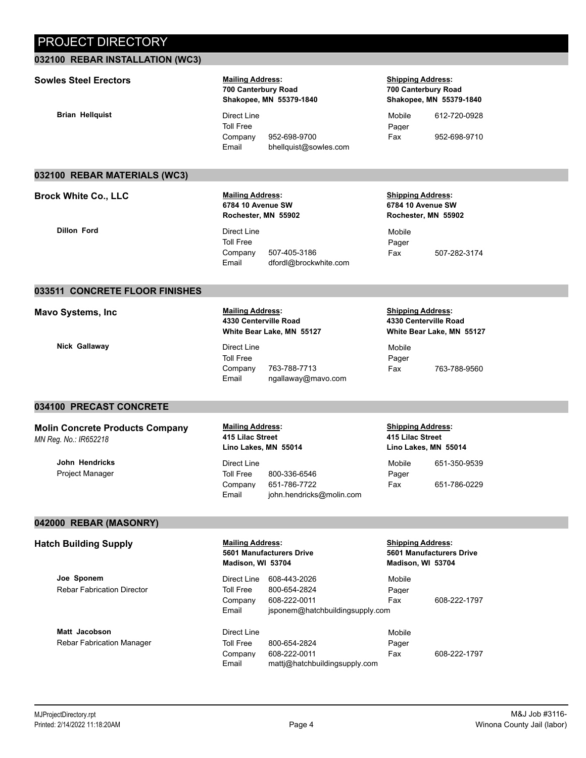### **032100 REBAR INSTALLATION (WC3)**

### **Sowles Steel Erectors Mailing Address:**

### **Brian Hellquist** Direct Line

**700 Canterbury Road Shakopee, MN 55379-1840**

Toll Free Company 952-698-9700 Email bhellquist@sowles.com **Shipping Address: 700 Canterbury Road Shakopee, MN 55379-1840**

Mobile 612-720-0928 Pager Fax 952-698-9710

#### **032100 REBAR MATERIALS (WC3)**

**Brock White Co., LLC Mailing Address:** 

### **6784 10 Avenue SW Rochester, MN 55902**

**Dillon Ford** Direct Line Toll Free Company 507-405-3186 Email dfordl@brockwhite.com

#### **Shipping Address: 6784 10 Avenue SW Rochester, MN 55902**

Mobile Pager Fax 507-282-3174

#### **033511 CONCRETE FLOOR FINISHES**

**Mavo Systems, Inc Mailing Address:** 

**Nick Gallaway** Direct Line

### **4330 Centerville Road White Bear Lake, MN 55127**

Toll Free Company 763-788-7713 Email ngallaway@mavo.com

#### **Shipping Address: 4330 Centerville Road White Bear Lake, MN 55127**

Mobile Pager Fax 763-788-9560

### **034100 PRECAST CONCRETE**

### **Molin Concrete Products Company**  *MN Reg. No.: IR652218*

**John Hendricks** Project Manager

#### **Mailing Address: 415 Lilac Street Lino Lakes, MN 55014**

Direct Line Toll Free 800-336-6546 Company 651-786-7722 Email john.hendricks@molin.com **Shipping Address: 415 Lilac Street Lino Lakes, MN 55014**

| Mobile | 651-350-9539 |
|--------|--------------|
| Pager  |              |
| Fax    | 651-786-0229 |

### **042000 REBAR (MASONRY)**

**Hatch Building Supply**  Mailing Address:

**Joe Sponem** Rebar Fabrication Director

**Matt Jacobson** Rebar Fabrication Manager **5601 Manufacturers Drive Madison, WI 53704**

Direct Line 608-443-2026 Toll Free 800-654-2824 Company 608-222-0011 Email jsponem@hatchbuildingsupply.com

Direct Line Email mattj@hatchbuildingsupply.com

Toll Free 800-654-2824 Company 608-222-0011

**Shipping Address: 5601 Manufacturers Drive Madison, WI 53704**

Pager

Mobile Pager

Mobile

Fax 608-222-1797

Fax 608-222-1797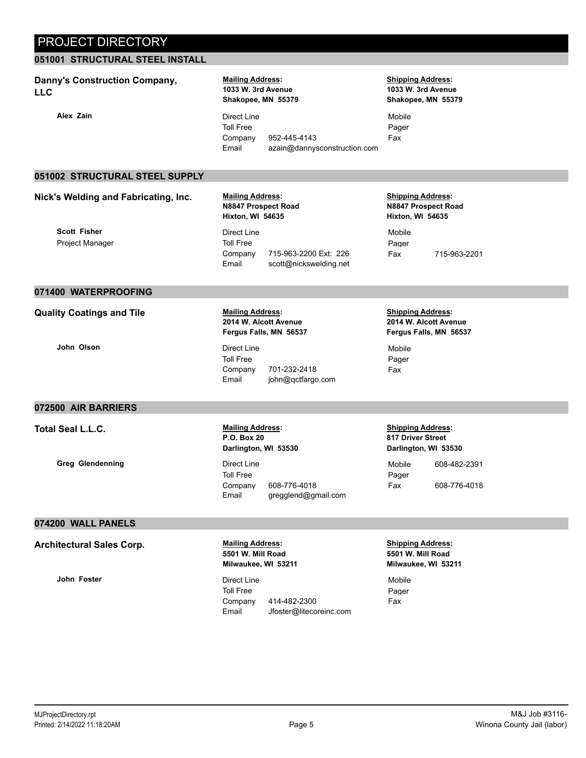### **051001 STRUCTURAL STEEL INSTALL**

### **Danny's Construction Company, LLC**

### **Mailing Address: 1033 W. 3rd Avenue Shakopee, MN 55379**

**Alex Zain** Direct Line Toll Free Company 952-445-4143 Email azain@dannysconstruction.com

### **Shipping Address: 1033 W. 3rd Avenue Shakopee, MN 55379**

Mobile Pager Fax

### **051002 STRUCTURAL STEEL SUPPLY**

### **Nick's Welding and Fabricating, Inc. Mailing Address:**

### **N8847 Prospect Road Hixton, WI 54635**

Direct Line Toll Free Company 715-963-2200 Ext: 226 Email scott@nickswelding.net **Shipping Address: N8847 Prospect Road Hixton, WI 54635**

Mobile Pager Fax 715-963-2201

#### **071400 WATERPROOFING**

**Quality Coatings and Tile <b>Address**:

**John Olson** Direct Line

**Scott Fisher** Project Manager

### **2014 W. Alcott Avenue Fergus Falls, MN 56537**

Toll Free Company 701-232-2418 Email john@qctfargo.com

#### **Shipping Address: 2014 W. Alcott Avenue Fergus Falls, MN 56537**

Mobile Pager Fax

### **072500 AIR BARRIERS**

**Total Seal L.L.C. Mailing Address:**

**Greg Glendenning** Direct Line

### **P.O. Box 20 Darlington, WI 53530**

Toll Free Company 608-776-4018 Email gregglend@gmail.com **Shipping Address: 817 Driver Street Darlington, WI 53530**

Mobile 608-482-2391 Pager Fax 608-776-4018

### **074200 WALL PANELS**

Architectural Sales Corp. **Mailing Address:** 

**John Foster Direct Line** 

### **5501 W. Mill Road Milwaukee, WI 53211**

Toll Free Company 414-482-2300 Email Jfoster@litecoreinc.com **Shipping Address: 5501 W. Mill Road Milwaukee, WI 53211**

Mobile Pager Fax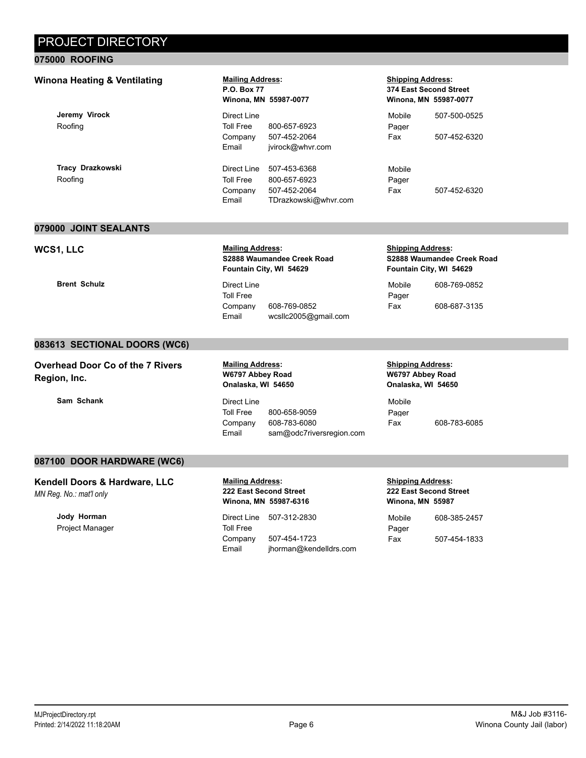### **075000 ROOFING**

### Winona Heating & Ventilating **Mailing Address:**

**Jeremy Virock** Roofing

**Tracy Drazkowski** Roofing

# **P.O. Box 77 Winona, MN 55987-0077**

Direct Line Toll Free 800-657-6923 Company 507-452-2064 Email jvirock@whvr.com Direct Line 507-453-6368 Toll Free 800-657-6923 Company 507-452-2064 Email TDrazkowski@whvr.com

#### **Shipping Address: 374 East Second Street Winona, MN 55987-0077**

| Mobile | 507-500-0525 |
|--------|--------------|
| Pager  |              |
| Fax    | 507-452-6320 |
|        |              |

Mobile Pager Fax 507-452-6320

### **079000 JOINT SEALANTS**

### WCS1, LLC **Mailing Address:**

**S2888 Waumandee Creek Road Fountain City, WI 54629**

**Brent Schulz** Direct Line Toll Free Company 608-769-0852 Email wcsllc2005@gmail.com

#### **Shipping Address: S2888 Waumandee Creek Road Fountain City, WI 54629**

| Mobile | 608-769-0852 |
|--------|--------------|
| Pager  |              |
| Fax    | 608-687-3135 |

### **083613 SECTIONAL DOORS (WC6)**

**Overhead Door Co of the 7 Rivers Region, Inc.** 

**Sam Schank** Direct Line

### **Mailing Address: W6797 Abbey Road Onalaska, WI 54650**

Toll Free 800-658-9059 Company 608-783-6080 Email sam@odc7riversregion.com

#### **Shipping Address: W6797 Abbey Road Onalaska, WI 54650**

Mobile Pager Fax 608-783-6085

### **087100 DOOR HARDWARE (WC6)**

**Kendell Doors & Hardware, LLC**  *MN Reg. No.: mat'l only*

> **Jody Horman** Project Manager

**Mailing Address: 222 East Second Street Winona, MN 55987-6316**

Direct Line 507-312-2830 Toll Free Company 507-454-1723 Email jhorman@kendelldrs.com

#### **Shipping Address: 222 East Second Street Winona, MN 55987**

| Mobile | 608-385-2457 |
|--------|--------------|
| Pager  |              |
| Fax    | 507-454-1833 |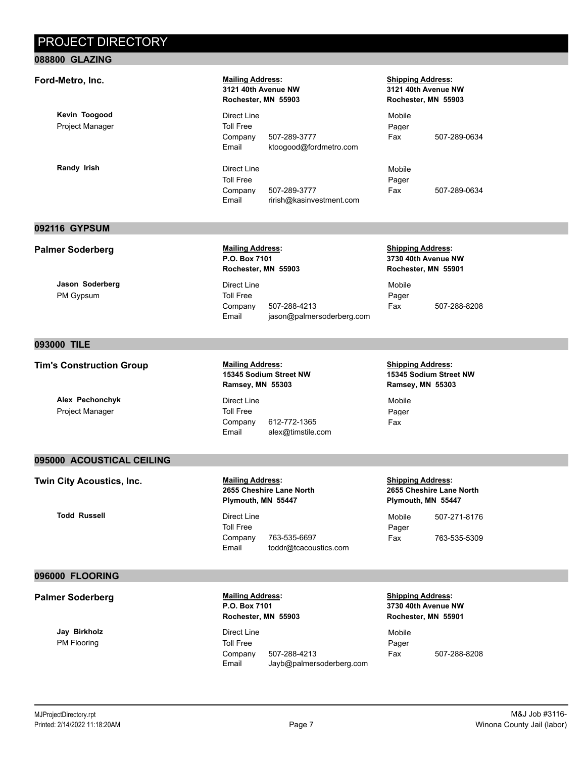### **088800 GLAZING**

### **Ford-Metro, Inc. Mailing Address:**

**Kevin Toogood** Project Manager

**Randy Irish Direct Line** 

**092116 GYPSUM**

### **3121 40th Avenue NW Rochester, MN 55903**

Direct Line Toll Free Company 507-289-3777 Email ktoogood@fordmetro.com

Toll Free Company 507-289-3777 Email rirish@kasinvestment.com

### **Shipping Address: 3121 40th Avenue NW Rochester, MN 55903**

Mobile Pager Fax 507-289-0634

Mobile Pager Fax 507-289-0634

Email jason@palmersoderberg.com

#### **Shipping Address: 3730 40th Avenue NW Rochester, MN 55901**

Mobile Pager Fax 507-288-8208

### **093000 TILE**

### **Tim's Construction Group** <br> **Mailing Address:**

**Jason Soderberg** PM Gypsum

**Palmer Soderberg Mailing Address:** 

**Alex Pechonchyk** Project Manager

**15345 Sodium Street NW Ramsey, MN 55303**

Company 507-288-4213

**P.O. Box 7101 Rochester, MN 55903**

Direct Line Toll Free

Direct Line Toll Free Company 612-772-1365 Email alex@timstile.com **Shipping Address: 15345 Sodium Street NW Ramsey, MN 55303**

Mobile Pager Fax

### **095000 ACOUSTICAL CEILING**

**Twin City Acoustics, Inc. Mailing Address:** 

**Todd Russell** Direct Line

### **2655 Cheshire Lane North Plymouth, MN 55447**

Toll Free Company 763-535-6697 Email toddr@tcacoustics.com **Shipping Address: 2655 Cheshire Lane North Plymouth, MN 55447**

Mobile 507-271-8176 Pager Fax 763-535-5309

#### **096000 FLOORING**

#### **Palmer Soderberg Mailing Address: Mailing Address:**

**Jay Birkholz** PM Flooring

**P.O. Box 7101 Rochester, MN 55903**

Direct Line Toll Free Company 507-288-4213 Email Jayb@palmersoderberg.com **Shipping Address: 3730 40th Avenue NW Rochester, MN 55901**

Mobile Pager Fax 507-288-8208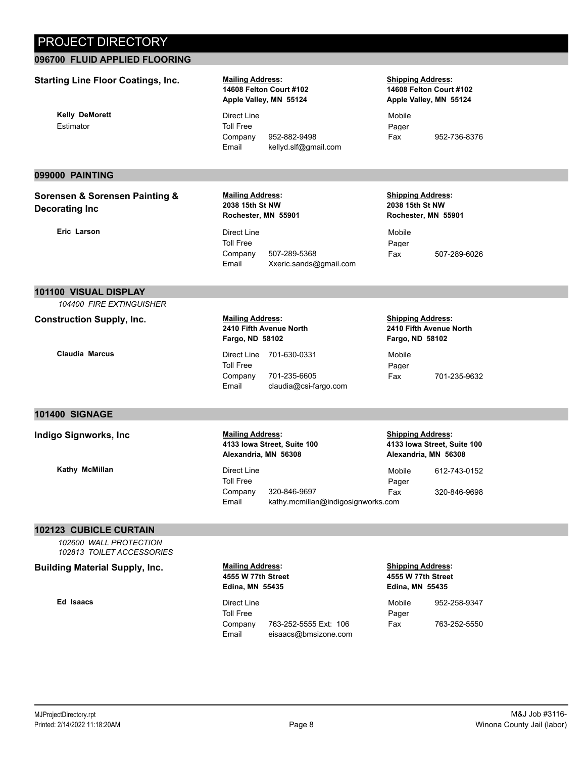### **096700 FLUID APPLIED FLOORING**

### **Starting Line Floor Coatings, Inc. <b>Mailing Address:**

**Kelly DeMorett** Estimator

### **14608 Felton Court #102 Apple Valley, MN 55124**

Direct Line Toll Free Company 952-882-9498 Email kellyd.slf@gmail.com **Shipping Address: 14608 Felton Court #102 Apple Valley, MN 55124**

Mobile Pager Fax 952-736-8376

### **099000 PAINTING**

### **Sorensen & Sorensen Painting & Decorating Inc**

**Eric Larson** Direct Line

#### **Mailing Address: 2038 15th St NW Rochester, MN 55901**

Toll Free Company 507-289-5368 Email Xxeric.sands@gmail.com

#### **Shipping Address: 2038 15th St NW Rochester, MN 55901**

Mobile Pager Fax 507-289-6026

### **101100 VISUAL DISPLAY**

*104400 FIRE EXTINGUISHER*

**Construction Supply, Inc. Mailing Address:** 

### **2410 Fifth Avenue North Fargo, ND 58102**

**Claudia Marcus Claudia Marcus Direct Line 701-630-0331** Toll Free Company 701-235-6605 Email claudia@csi-fargo.com **Shipping Address: 2410 Fifth Avenue North Fargo, ND 58102**

Mobile Pager Fax 701-235-9632

### **101400 SIGNAGE**

**Indigo Signworks, Inc Mailing Address:** 

**Kathy McMillan** Direct Line

### **4133 Iowa Street, Suite 100 Alexandria, MN 56308**

Toll Free Company 320-846-9697 Pager Email kathy.mcmillan@indigosignworks.com

**Shipping Address: 4133 Iowa Street, Suite 100 Alexandria, MN 56308**

Mobile 612-743-0152 Fax 320-846-9698

### **102123 CUBICLE CURTAIN**

*102600 WALL PROTECTION 102813 TOILET ACCESSORIES*

**Building Material Supply, Inc. Mailing Address:** 

**Ed Isaacs** Direct Line

### **4555 W 77th Street Edina, MN 55435**

Toll Free Company 763-252-5555 Ext: 106 Email eisaacs@bmsizone.com **Shipping Address: 4555 W 77th Street Edina, MN 55435**

| Mobile | 952-258-9347 |
|--------|--------------|
| Pager  |              |
| Fax    | 763-252-5550 |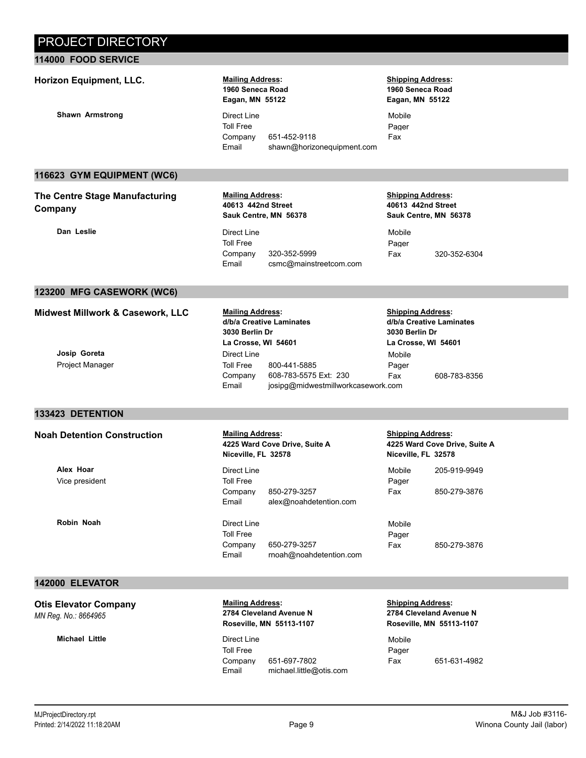### **114000 FOOD SERVICE**

### **Horizon Equipment, LLC. Mailing Address:**

**Shawn Armstrong Direct Line** 

### **1960 Seneca Road Eagan, MN 55122**

Toll Free Company 651-452-9118 Email shawn@horizonequipment.com

#### **Shipping Address: 1960 Seneca Road Eagan, MN 55122**

Mobile Pager Fax

### **116623 GYM EQUIPMENT (WC6)**

### **The Centre Stage Manufacturing Company**

### **Mailing Address: 40613 442nd Street Sauk Centre, MN 56378**

**Mailing Address: d/b/a Creative Laminates**

**3030 Berlin Dr La Crosse, WI 54601**

Direct Line

**Dan Leslie** Direct Line Toll Free Company 320-352-5999 Email csmc@mainstreetcom.com

#### **Shipping Address: 40613 442nd Street Sauk Centre, MN 56378**

**Shipping Address: d/b/a Creative Laminates**

**3030 Berlin Dr La Crosse, WI 54601**

Mobile Pager

Mobile Pager Fax 320-352-6304

### **123200 MFG CASEWORK (WC6)**

| Midwest Millwork & Casework, LLC |  |  |  |
|----------------------------------|--|--|--|
|----------------------------------|--|--|--|

### **Josip Goreta** Project Manager

### **133423 DETENTION**

### **Noah Detention Construction Mailing Address:**

**Alex Hoar** Vice president

**Robin Noah** Direct Line

### **4225 Ward Cove Drive, Suite A Niceville, FL 32578**

Toll Free 800-441-5885

Company 608-783-5575 Ext: 230

Email josipg@midwestmillworkcasework.com

Direct Line Toll Free Company 850-279-3257 Email alex@noahdetention.com

Toll Free Company 650-279-3257 Email rnoah@noahdetention.com **Shipping Address: 4225 Ward Cove Drive, Suite A Niceville, FL 32578**

Fax 608-783-8356

Mobile 205-919-9949 Pager Fax 850-279-3876

Mobile Pager Fax 850-279-3876

### **142000 ELEVATOR**

**Otis Elevator Company**  *MN Reg. No.: 8664965*

#### **Michael Little Direct Line**

**Mailing Address: 2784 Cleveland Avenue N Roseville, MN 55113-1107**

Toll Free Company 651-697-7802 Email michael.little@otis.com **Shipping Address: 2784 Cleveland Avenue N Roseville, MN 55113-1107**

Mobile Pager Fax 651-631-4982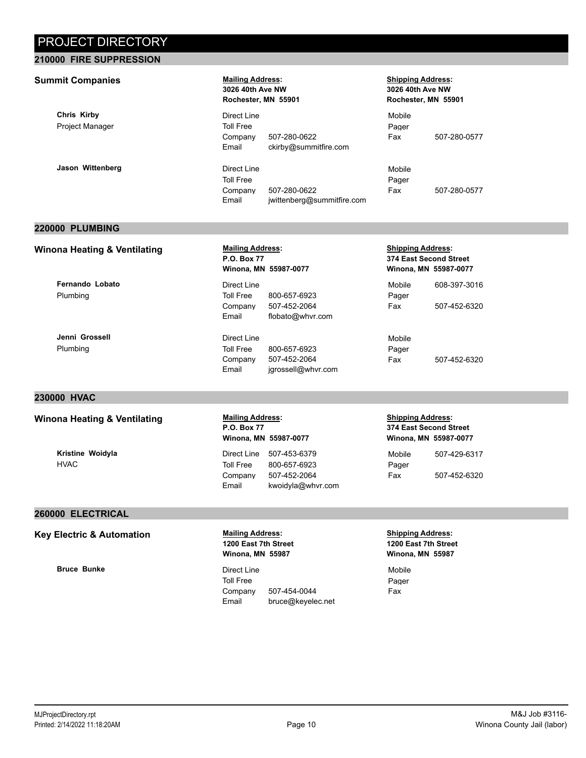### **210000 FIRE SUPPRESSION**

### **Summit Companies** *Mailing Address:*

**Chris Kirby** Project Manager

**Jason Wittenberg Communist Communist Communist Communist Communist Communist Communist Communist Communist Communist Communist Communist Communist Communist Communist Communist Communist Communist Communist Communist Comm** 

## **3026 40th Ave NW Rochester, MN 55901**

Direct Line Toll Free Company 507-280-0622 Email ckirby@summitfire.com

Toll Free Company 507-280-0622 Email jwittenberg@summitfire.com

#### **Shipping Address: 3026 40th Ave NW Rochester, MN 55901**

Mobile Pager Fax 507-280-0577

Mobile Pager Fax 507-280-0577

### **220000 PLUMBING**

### **Winona Heating & Ventilating Mailing Address:**

**Fernando Lobato** Plumbing

**Jenni Grossell** Plumbing

### **230000 HVAC**

### Winona Heating & Ventilating **Mailing Address:**

**Kristine Woidyla** HVAC

### **P.O. Box 77 Winona, MN 55987-0077** Direct Line Toll Free 800-657-6923

Company 507-452-2064 Email flobato@whvr.com

Direct Line Toll Free 800-657-6923 Company 507-452-2064 Email jgrossell@whvr.com

#### **Shipping Address: 374 East Second Street Winona, MN 55987-0077**

| Mobile | 608-397-3016 |
|--------|--------------|
| Pager  |              |
| Fax    | 507-452-6320 |

Mobile Pager Fax 507-452-6320

**Shipping Address: 374 East Second Street Winona, MN 55987-0077**

| Mobile | 507-429-6317 |
|--------|--------------|
| Pager  |              |
| Fax    | 507-452-6320 |

### **260000 ELECTRICAL**

### **Key Electric & Automation Mailing Address:**

**Bruce Bunke** Direct Line

### **1200 East 7th Street Winona, MN 55987**

**P.O. Box 77**

**Winona, MN 55987-0077**

Direct Line 507-453-6379 Toll Free 800-657-6923 Company 507-452-2064

Email kwoidyla@whvr.com

Toll Free Company 507-454-0044 Email bruce@keyelec.net

#### **Shipping Address: 1200 East 7th Street Winona, MN 55987**

Mobile Pager Fax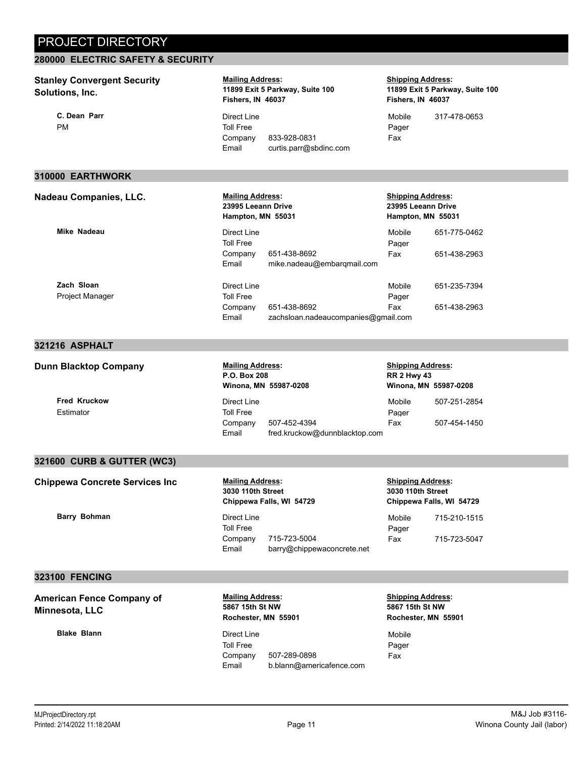### **280000 ELECTRIC SAFETY & SECURITY**

#### **Stanley Convergent Security Solutions, Inc. Mailing Address: 11899 Exit 5 Parkway, Suite 100 Fishers, IN 46037 Shipping Address: 11899 Exit 5 Parkway, Suite 100 Fishers, IN 46037 C. Dean Parr** PM Direct Line Toll Free Company 833-928-0831 Mobile 317-478-0653 Pager Fax Email curtis.parr@sbdinc.com **310000 EARTHWORK Nadeau Companies, LLC. Mailing Address: 23995 Leeann Drive Hampton, MN 55031 Shipping Address: 23995 Leeann Drive Hampton, MN 55031 Mike Nadeau Direct Line** Toll Free Company 651-438-8692 Mobile 651-775-0462 Pager Fax 651-438-2963 Email mike.nadeau@embarqmail.com **Zach Sloan** Project Manager Direct Line Toll Free Company 651-438-8692 Mobile 651-235-7394 Pager Fax 651-438-2963 Email zachsloan.nadeaucompanies@gmail.com **321216 ASPHALT**

### **Dunn Blacktop Company Mailing Address:**

**Fred Kruckow** Estimator

### **P.O. Box 208 Winona, MN 55987-0208**

Direct Line Toll Free Company 507-452-4394 Pager Email fred.kruckow@dunnblacktop.com

#### **Shipping Address: RR 2 Hwy 43 Winona, MN 55987-0208**

| 507-251-2854 |
|--------------|
|              |
| 507-454-1450 |
|              |

### **321600 CURB & GUTTER (WC3)**

**Chippewa Concrete Services Inc Mailing Address:**

**Barry Bohman** Direct Line

### **3030 110th Street Chippewa Falls, WI 54729**

Toll Free Company 715-723-5004 Email barry@chippewaconcrete.net

#### **Shipping Address: 3030 110th Street Chippewa Falls, WI 54729**

Mobile 715-210-1515 Pager Fax 715-723-5047

### **323100 FENCING**

**American Fence Company of Minnesota, LLC** 

**Blake Blann** Direct Line

**Mailing Address: 5867 15th St NW Rochester, MN 55901**

Toll Free Company 507-289-0898 Email b.blann@americafence.com **Shipping Address: 5867 15th St NW Rochester, MN 55901**

Mobile Pager Fax